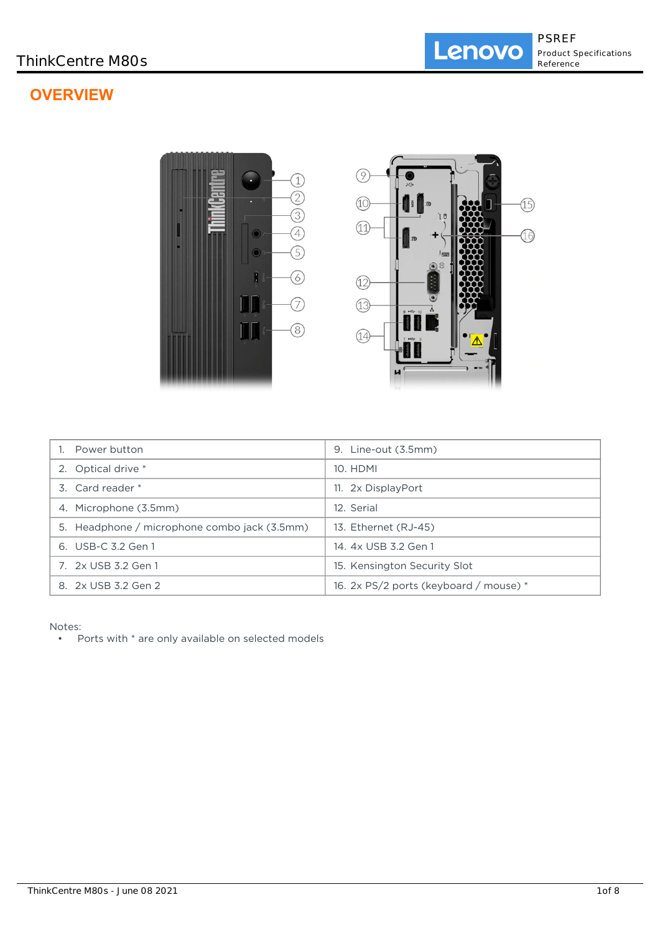# **OVERVIEW**



| Power button                                 | 9. Line-out (3.5mm)                        |
|----------------------------------------------|--------------------------------------------|
| 2. Optical drive *                           | 10. HDMI                                   |
| 3. Card reader *                             | 11. 2x DisplayPort                         |
| 4. Microphone (3.5mm)                        | 12. Serial                                 |
| 5. Headphone / microphone combo jack (3.5mm) | 13. Ethernet (RJ-45)                       |
| 6. USB-C 3.2 Gen 1                           | 14. 4x USB 3.2 Gen 1                       |
| 7. 2x USB 3.2 Gen 1                          | 15. Kensington Security Slot               |
| 8. 2x USB 3.2 Gen 2                          | 16. $2x$ PS/2 ports (keyboard / mouse) $*$ |

Notes:

• Ports with \* are only available on selected models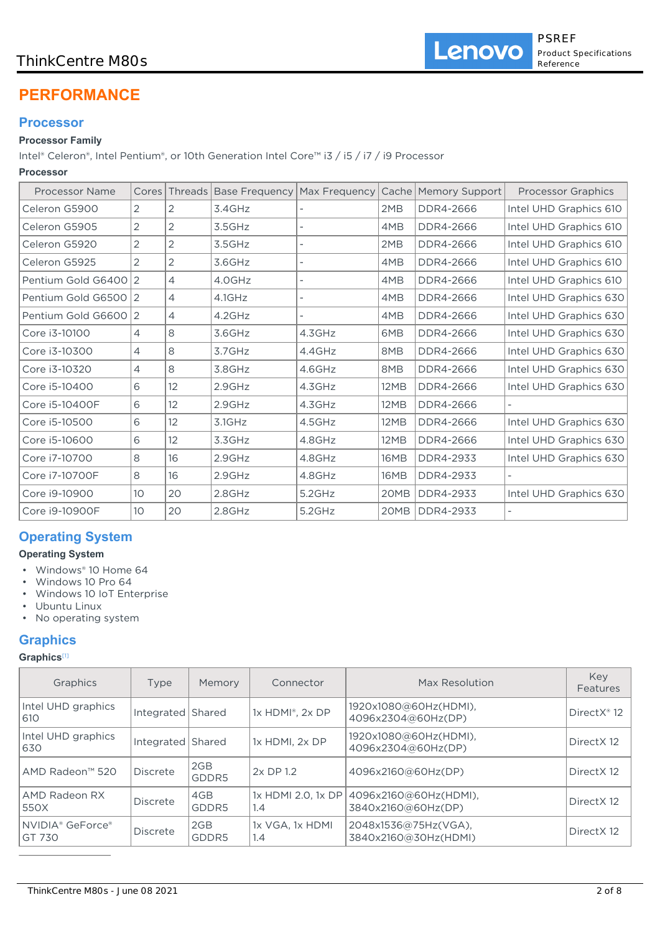## ThinkCentre M80s

# **PERFORMANCE**

## **Processor**

## **Processor Family**

Intel® Celeron®, Intel Pentium®, or 10th Generation Intel Core™ i3 / i5 / i7 / i9 Processor

## **Processor**

| <b>Processor Name</b> |                 |                | Cores   Threads   Base Frequency   Max Frequency |        |             | Cache   Memory Support | <b>Processor Graphics</b> |
|-----------------------|-----------------|----------------|--------------------------------------------------|--------|-------------|------------------------|---------------------------|
| Celeron G5900         | 2               | 2              | 3.4GHz                                           |        | 2MB         | DDR4-2666              | Intel UHD Graphics 610    |
| Celeron G5905         | 2               | 2              | 3.5GHz                                           |        | 4MB         | DDR4-2666              | Intel UHD Graphics 610    |
| Celeron G5920         | 2               | 2              | 3.5GHz                                           |        | 2MB         | DDR4-2666              | Intel UHD Graphics 610    |
| Celeron G5925         | 2               | $\overline{2}$ | 3.6GHz                                           |        | 4MB         | DDR4-2666              | Intel UHD Graphics 610    |
| Pentium Gold G640012  |                 | $\overline{4}$ | 4.0GHz                                           |        | 4MB         | DDR4-2666              | Intel UHD Graphics 610    |
| Pentium Gold G6500 2  |                 | $\overline{4}$ | 4.1GHz                                           |        | 4MB         | DDR4-2666              | Intel UHD Graphics 630    |
| Pentium Gold G6600 2  |                 | $\overline{4}$ | 4.2GHz                                           |        | 4MB         | DDR4-2666              | Intel UHD Graphics 630    |
| Core i3-10100         | 4               | 8              | 3.6GHz                                           | 4.3GHz | 6MB         | DDR4-2666              | Intel UHD Graphics 630    |
| Core i3-10300         | $\overline{4}$  | 8              | 3.7GHz                                           | 4.4GHz | 8MB         | DDR4-2666              | Intel UHD Graphics 630    |
| Core i3-10320         | $\overline{4}$  | 8              | 3.8GHz                                           | 4.6GHz | 8MB         | DDR4-2666              | Intel UHD Graphics 630    |
| Core i5-10400         | 6               | 12             | 2.9GHz                                           | 4.3GHz | 12MB        | DDR4-2666              | Intel UHD Graphics 630    |
| Core i5-10400F        | 6               | 12             | 2.9GHz                                           | 4.3GHz | <b>12MB</b> | DDR4-2666              |                           |
| Core i5-10500         | 6               | 12             | $3.1$ GHz                                        | 4.5GHz | <b>12MB</b> | DDR4-2666              | Intel UHD Graphics 630    |
| Core i5-10600         | 6               | 12             | 3.3GHz                                           | 4.8GHz | 12MB        | DDR4-2666              | Intel UHD Graphics 630    |
| Core i7-10700         | 8               | 16             | 2.9GHz                                           | 4.8GHz | <b>16MB</b> | DDR4-2933              | Intel UHD Graphics 630    |
| Core i7-10700F        | 8               | 16             | 2.9GHz                                           | 4.8GHz | 16MB        | DDR4-2933              |                           |
| Core i9-10900         | 10 <sup>°</sup> | 20             | $2.8$ GHz                                        | 5.2GHz | 20MB        | DDR4-2933              | Intel UHD Graphics 630    |
| Core i9-10900F        | 10              | 20             | 2.8GHz                                           | 5.2GHz | 20MB        | <b>DDR4-2933</b>       |                           |

# **Operating System**

## **Operating System**

- Windows® 10 Home 64
- Windows 10 Pro 64
- Windows 10 IoT Enterprise
- Ubuntu Linux
- No operating system

# **Graphics**

## **Graphics**[1]

| Graphics                               | Type              | Memory       | Connector                 | Max Resolution                               | Key<br>Features         |
|----------------------------------------|-------------------|--------------|---------------------------|----------------------------------------------|-------------------------|
| Intel UHD graphics<br>610              | Integrated Shared |              | 1x HDMI®, 2x DP           | 1920x1080@60Hz(HDMI),<br>4096x2304@60Hz(DP)  | DirectX <sup>®</sup> 12 |
| Intel UHD graphics<br>630              | Integrated Shared |              | 1x HDMI, 2x DP            | 1920x1080@60Hz(HDMI),<br>4096x2304@60Hz(DP)  | Direct X12              |
| AMD Radeon™ 520                        | Discrete          | 2GB<br>GDDR5 | 2x DP 1.2                 | 4096x2160@60Hz(DP)                           | Direct X12              |
| AMD Radeon RX<br>550X                  | <b>Discrete</b>   | 4GB<br>GDDR5 | 1x HDMI 2.0. 1x DP<br>1.4 | 4096x2160@60Hz(HDMI),<br>3840x2160@60Hz(DP)  | Direct X12              |
| NVIDIA <sup>®</sup> GeForce®<br>GT 730 | <b>Discrete</b>   | 2GB<br>GDDR5 | 1x VGA, 1x HDMI<br>1.4    | 2048x1536@75Hz(VGA),<br>3840x2160@30Hz(HDMI) | Direct X 12             |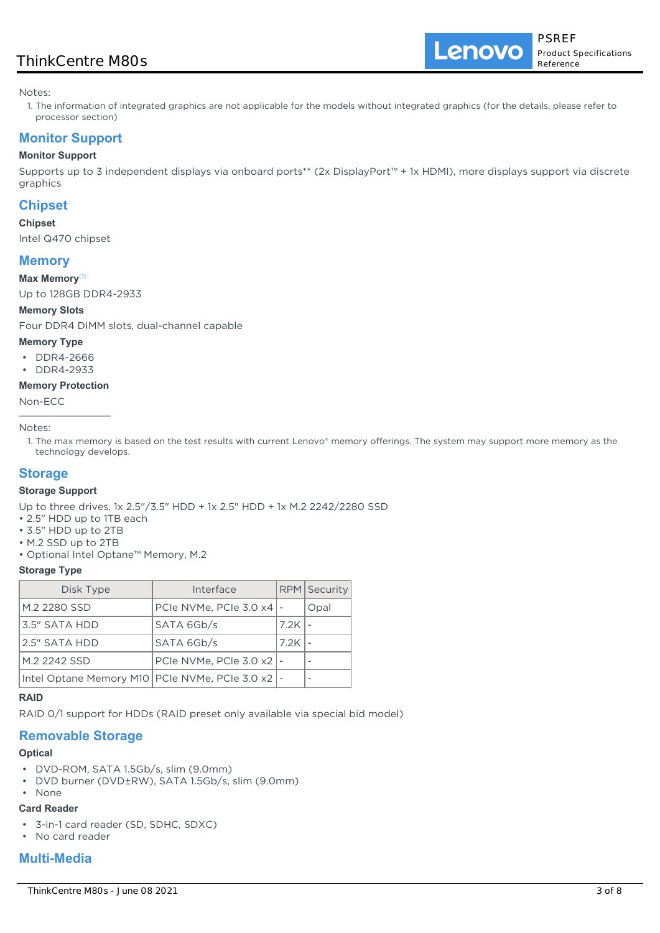## ThinkCentre M80s

Lenovo

Notes:

1. The information of integrated graphics are not applicable for the models without integrated graphics (for the details, please refer to processor section)

## **Monitor Support**

## **Monitor Support**

Supports up to 3 independent displays via onboard ports\*\* (2x DisplayPort™ + 1x HDMI), more displays support via discrete graphics

## **Chipset**

### **Chipset**

Intel Q470 chipset

## **Memory**

#### **Max Memory**[1]

Up to 128GB DDR4-2933

#### **Memory Slots**

Four DDR4 DIMM slots, dual-channel capable

#### **Memory Type**

- DDR4-2666
- DDR4-2933

#### **Memory Protection**

Non-ECC

Notes:

1. The max memory is based on the test results with current Lenovo® memory offerings. The system may support more memory as the technology develops.

## **Storage**

#### **Storage Support**

Up to three drives, 1x 2.5"/3.5" HDD + 1x 2.5" HDD + 1x M.2 2242/2280 SSD

- 2.5" HDD up to 1TB each
- 3.5" HDD up to 2TB
- M.2 SSD up to 2TB
- Optional Intel Optane™ Memory, M.2

#### **Storage Type**

| Disk Type                                            | Interface                          |      | RPM Security |
|------------------------------------------------------|------------------------------------|------|--------------|
| M.2 2280 SSD                                         | PCIe NVMe, PCIe 3.0 $\times$ 4   - |      | Opal         |
| 3.5" SATA HDD                                        | SATA 6Gb/s                         | 7.2K |              |
| 2.5" SATA HDD                                        | SATA 6Gb/s                         | 7.2K |              |
| M.2 2242 SSD                                         | PCIe NVMe, PCIe 3.0 x2   -         |      |              |
| Intel Optane Memory M10   PCIe NVMe, PCIe 3.0 x2   - |                                    |      |              |

#### **RAID**

RAID 0/1 support for HDDs (RAID preset only available via special bid model)

## **Removable Storage**

## **Optical**

- DVD-ROM, SATA 1.5Gb/s, slim (9.0mm)
- DVD burner (DVD±RW), SATA 1.5Gb/s, slim (9.0mm)
- None

## **Card Reader**

- 3-in-1 card reader (SD, SDHC, SDXC)
- No card reader

## **Multi-Media**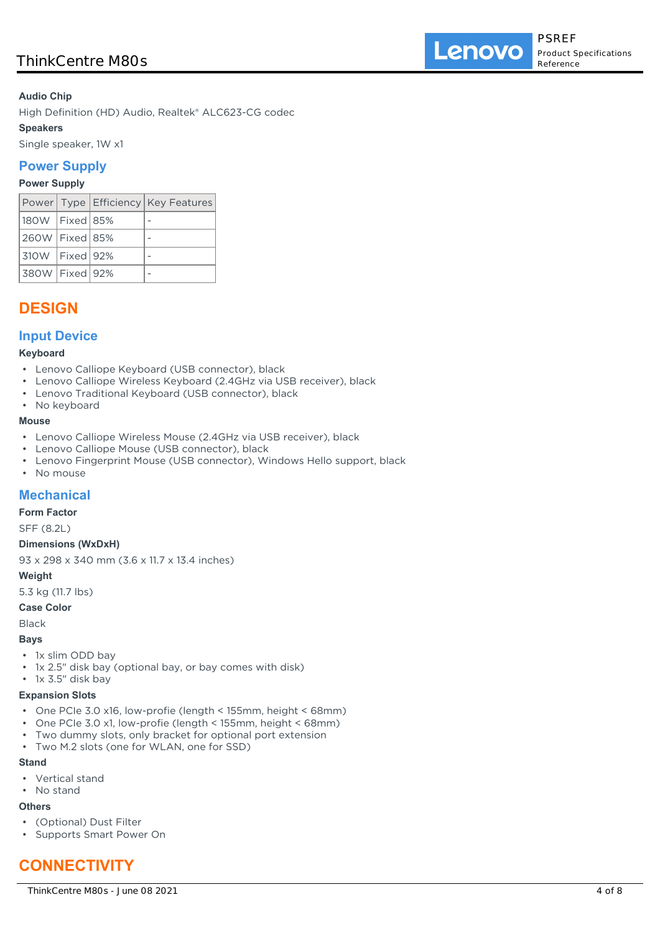## **Audio Chip**

High Definition (HD) Audio, Realtek® ALC623-CG codec

## **Speakers**

Single speaker, 1W x1

## **Power Supply**

### **Power Supply**

|                    |  | Power   Type   Efficiency   Key Features |
|--------------------|--|------------------------------------------|
| 180W   Fixed   85% |  |                                          |
| 260W   Fixed   85% |  |                                          |
| 310W   Fixed   92% |  |                                          |
| 380W   Fixed   92% |  |                                          |

# **DESIGN**

## **Input Device**

#### **Keyboard**

- Lenovo Calliope Keyboard (USB connector), black
- Lenovo Calliope Wireless Keyboard (2.4GHz via USB receiver), black
- Lenovo Traditional Keyboard (USB connector), black
- No keyboard

#### **Mouse**

- Lenovo Calliope Wireless Mouse (2.4GHz via USB receiver), black
- Lenovo Calliope Mouse (USB connector), black
- Lenovo Fingerprint Mouse (USB connector), Windows Hello support, black
- No mouse

## **Mechanical**

## **Form Factor**

SFF (8.2L)

#### **Dimensions (WxDxH)**

93 x 298 x 340 mm (3.6 x 11.7 x 13.4 inches)

## **Weight**

5.3 kg (11.7 lbs)

#### **Case Color**

Black

#### **Bays**

- 1x slim ODD bay
- 1x 2.5" disk bay (optional bay, or bay comes with disk)

## • 1x 3.5" disk bay

#### **Expansion Slots**

- One PCIe 3.0 x16, low-profie (length < 155mm, height < 68mm)
- One PCIe 3.0 x1, low-profie (length < 155mm, height < 68mm)
- Two dummy slots, only bracket for optional port extension
- Two M.2 slots (one for WLAN, one for SSD)

#### **Stand**

- Vertical stand
- No stand

## **Others**

- (Optional) Dust Filter
- Supports Smart Power On

# **CONNECTIVITY**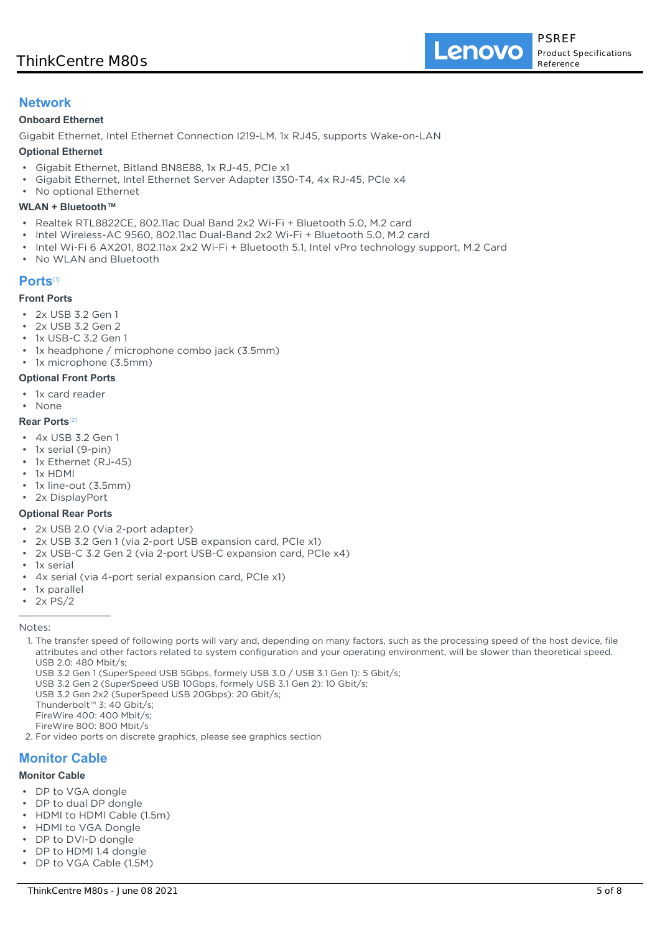## **Network**

#### **Onboard Ethernet**

Gigabit Ethernet, Intel Ethernet Connection I219-LM, 1x RJ45, supports Wake-on-LAN

#### **Optional Ethernet**

- Gigabit Ethernet, Bitland BN8E88, 1x RJ-45, PCIe x1
- Gigabit Ethernet, Intel Ethernet Server Adapter I350-T4, 4x RJ-45, PCIe x4
- No optional Ethernet

#### **WLAN + Bluetooth™**

- Realtek RTL8822CE, 802.11ac Dual Band 2x2 Wi-Fi + Bluetooth 5.0, M.2 card
- Intel Wireless-AC 9560, 802.11ac Dual-Band 2x2 Wi-Fi + Bluetooth 5.0, M.2 card
- Intel Wi-Fi 6 AX201, 802.11ax 2x2 Wi-Fi + Bluetooth 5.1, Intel vPro technology support, M.2 Card
- No WLAN and Bluetooth

### **Ports**[1]

## **Front Ports**

- 2x USB 3.2 Gen 1
- 2x USB 3.2 Gen 2
- 1x USB-C 3.2 Gen 1
- 1x headphone / microphone combo jack (3.5mm)
- 1x microphone (3.5mm)

#### **Optional Front Ports**

• 1x card reader • None

## **Rear Ports**[2]

- 4x USB 3.2 Gen 1
- 1x serial (9-pin)
- 1x Ethernet (RJ-45)
- 1x HDMI
- 1x line-out (3.5mm)
- 2x DisplayPort

#### **Optional Rear Ports**

- 2x USB 2.0 (Via 2-port adapter)
- 2x USB 3.2 Gen 1 (via 2-port USB expansion card, PCIe x1)
- 2x USB-C 3.2 Gen 2 (via 2-port USB-C expansion card, PCIe x4)
- 1x serial
- 4x serial (via 4-port serial expansion card, PCIe x1)
- 1x parallel
- 2x PS/2

#### Notes:

- 1. The transfer speed of following ports will vary and, depending on many factors, such as the processing speed of the host device, file attributes and other factors related to system configuration and your operating environment, will be slower than theoretical speed. USB 2.0: 480 Mbit/s;
	- USB 3.2 Gen 1 (SuperSpeed USB 5Gbps, formely USB 3.0 / USB 3.1 Gen 1): 5 Gbit/s;
	- USB 3.2 Gen 2 (SuperSpeed USB 10Gbps, formely USB 3.1 Gen 2): 10 Gbit/s;
	- USB 3.2 Gen 2x2 (SuperSpeed USB 20Gbps): 20 Gbit/s;
	- Thunderbolt™ 3: 40 Gbit/s;
- FireWire 400: 400 Mbit/s;
- FireWire 800: 800 Mbit/s
- 2. For video ports on discrete graphics, please see graphics section

# **Monitor Cable**

## **Monitor Cable**

- DP to VGA dongle
- DP to dual DP dongle
- HDMI to HDMI Cable (1.5m)
- HDMI to VGA Dongle
- DP to DVI-D dongle
- DP to HDMI 1.4 dongle
- DP to VGA Cable (1.5M)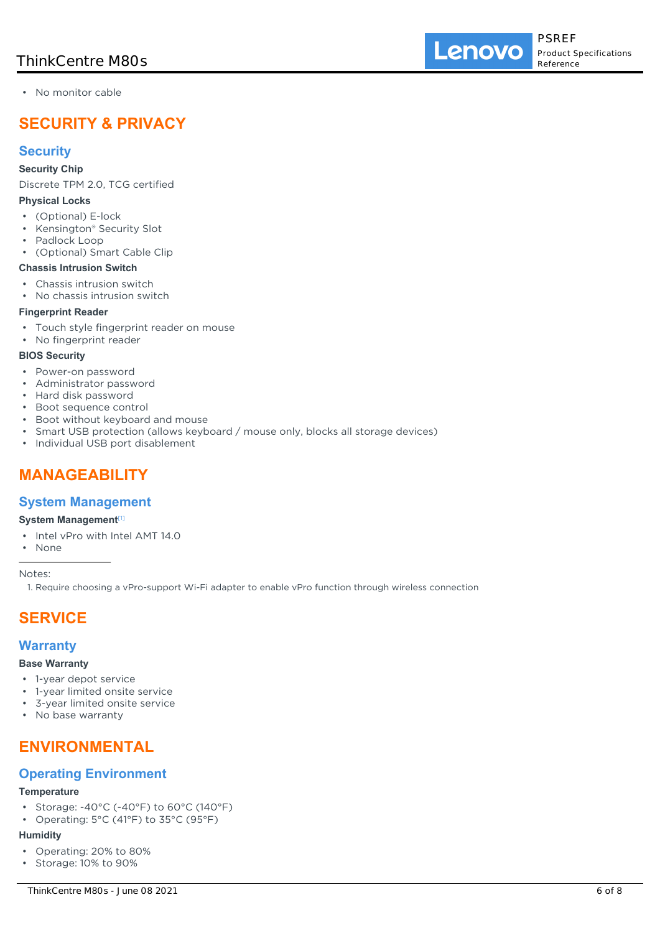• No monitor cable

# **SECURITY & PRIVACY**

## **Security**

#### **Security Chip**

Discrete TPM 2.0, TCG certified

#### **Physical Locks**

- (Optional) E-lock
- Kensington® Security Slot
- Padlock Loop
- (Optional) Smart Cable Clip

## **Chassis Intrusion Switch**

- Chassis intrusion switch
- No chassis intrusion switch

## **Fingerprint Reader**

- Touch style fingerprint reader on mouse
- No fingerprint reader

### **BIOS Security**

- Power-on password
- Administrator password
- Hard disk password
- Boot sequence control
- Boot without keyboard and mouse
- Smart USB protection (allows keyboard / mouse only, blocks all storage devices)
- Individual USB port disablement

# **MANAGEABILITY**

## **System Management**

## **System Management**[1]

- Intel vPro with Intel AMT 14.0
- None

Notes:

1. Require choosing a vPro-support Wi-Fi adapter to enable vPro function through wireless connection

# **SERVICE**

## **Warranty**

#### **Base Warranty**

- 1-year depot service
- 1-year limited onsite service
- 3-year limited onsite service
- No base warranty

# **ENVIRONMENTAL**

## **Operating Environment**

## **Temperature**

- Storage: -40°C (-40°F) to 60°C (140°F)
- Operating: 5°C (41°F) to 35°C (95°F)

#### **Humidity**

- Operating: 20% to 80%
- Storage: 10% to 90%

Lenovo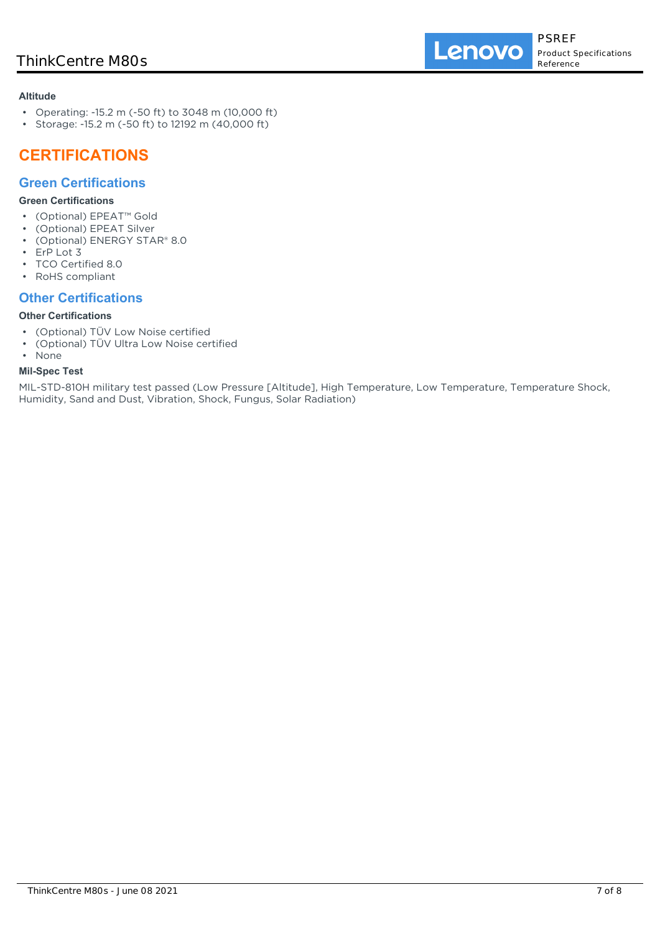### **Altitude**

- Operating: -15.2 m (-50 ft) to 3048 m (10,000 ft)
- Storage: -15.2 m (-50 ft) to 12192 m (40,000 ft)

# **CERTIFICATIONS**

## **Green Certifications**

## **Green Certifications**

- (Optional) EPEAT™ Gold
- (Optional) EPEAT Silver
- (Optional) ENERGY STAR® 8.0
- ErP Lot 3
- TCO Certified 8.0
- RoHS compliant

## **Other Certifications**

## **Other Certifications**

- (Optional) TÜV Low Noise certified
- (Optional) TÜV Ultra Low Noise certified
- None

## **Mil-Spec Test**

MIL-STD-810H military test passed (Low Pressure [Altitude], High Temperature, Low Temperature, Temperature Shock, Humidity, Sand and Dust, Vibration, Shock, Fungus, Solar Radiation)